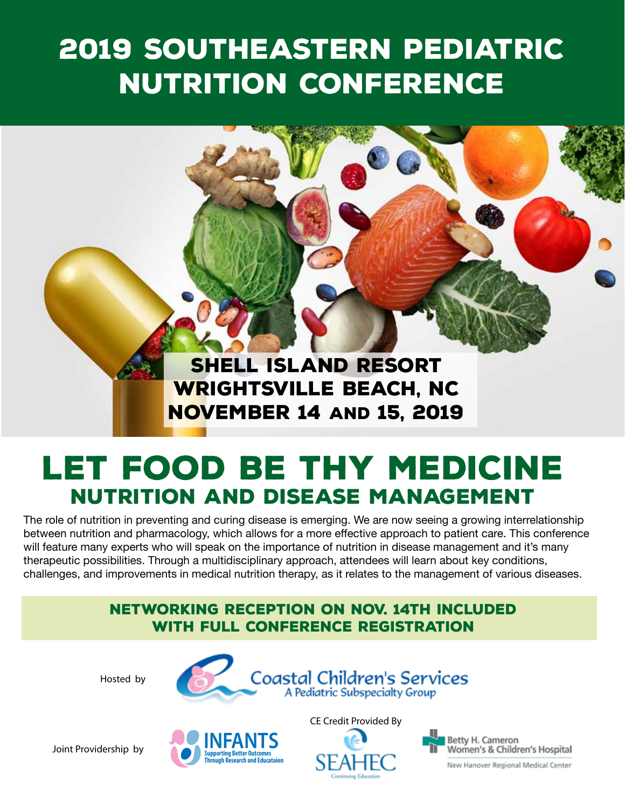# 2019 Southeastern Pediatric Nutrition Conference

Shell Island Resort Wrightsville Beach, NC November 14 and 15, 2019

# Let Food be Thy Medicine Nutrition and Disease Management

The role of nutrition in preventing and curing disease is emerging. We are now seeing a growing interrelationship between nutrition and pharmacology, which allows for a more effective approach to patient care. This conference will feature many experts who will speak on the importance of nutrition in disease management and it's many therapeutic possibilities. Through a multidisciplinary approach, attendees will learn about key conditions, challenges, and improvements in medical nutrition therapy, as it relates to the management of various diseases.

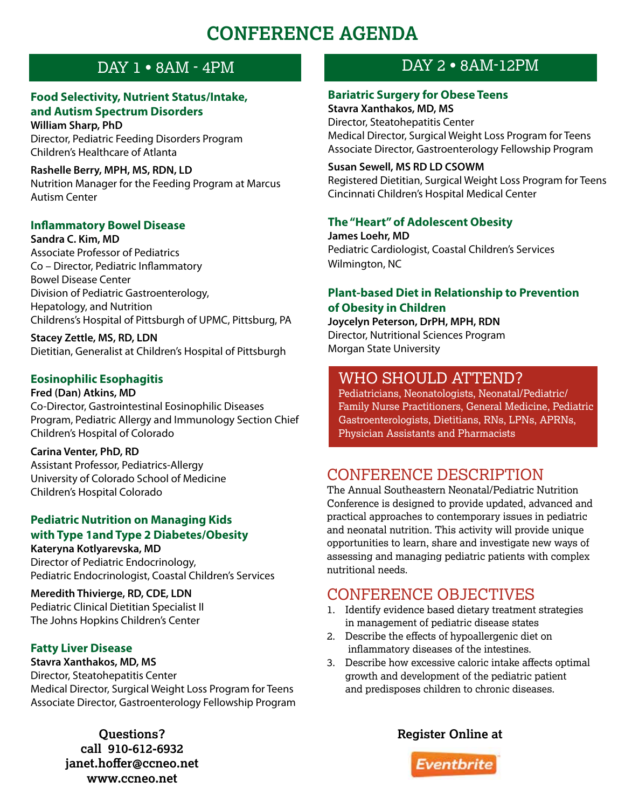## **CONFERENCE AGENDA**

#### **Food Selectivity, Nutrient Status/Intake, and Autism Spectrum Disorders**

**William Sharp, PhD** Director, Pediatric Feeding Disorders Program Children's Healthcare of Atlanta

**Rashelle Berry, MPH, MS, RDN, LD** Nutrition Manager for the Feeding Program at Marcus Autism Center

#### **Inflammatory Bowel Disease**

**Sandra C. Kim, MD** Associate Professor of Pediatrics Co – Director, Pediatric Inflammatory Bowel Disease Center Division of Pediatric Gastroenterology, Hepatology, and Nutrition Childrens's Hospital of Pittsburgh of UPMC, Pittsburg, PA

**Stacey Zettle, MS, RD, LDN** Dietitian, Generalist at Children's Hospital of Pittsburgh

#### **Eosinophilic Esophagitis**

**Fred (Dan) Atkins, MD** Co-Director, Gastrointestinal Eosinophilic Diseases Program, Pediatric Allergy and Immunology Section Chief Children's Hospital of Colorado

**Carina Venter, PhD, RD** Assistant Professor, Pediatrics-Allergy University of Colorado School of Medicine Children's Hospital Colorado

#### **Pediatric Nutrition on Managing Kids with Type 1and Type 2 Diabetes/Obesity Kateryna Kotlyarevska, MD**

Director of Pediatric Endocrinology, Pediatric Endocrinologist, Coastal Children's Services

**Meredith Thivierge, RD, CDE, LDN** Pediatric Clinical Dietitian Specialist II The Johns Hopkins Children's Center

#### **Fatty Liver Disease**

**Stavra Xanthakos, MD, MS** Director, Steatohepatitis Center Medical Director, Surgical Weight Loss Program for Teens Associate Director, Gastroenterology Fellowship Program

> **call 910-612-6932 janet.hoffer@ccneo.net www.ccneo.net**

### DAY 1 • 8AM - 4PM DAY 2 • 8AM-12PM

#### **Bariatric Surgery for Obese Teens**

**Stavra Xanthakos, MD, MS** Director, Steatohepatitis Center Medical Director, Surgical Weight Loss Program for Teens Associate Director, Gastroenterology Fellowship Program

#### **Susan Sewell, MS RD LD CSOWM**

Registered Dietitian, Surgical Weight Loss Program for Teens Cincinnati Children's Hospital Medical Center

#### **The "Heart" of Adolescent Obesity**

**James Loehr, MD** Pediatric Cardiologist, Coastal Children's Services Wilmington, NC

#### **Plant-based Diet in Relationship to Prevention of Obesity in Children**

**Joycelyn Peterson, DrPH, MPH, RDN** Director, Nutritional Sciences Program Morgan State University

### WHO SHOULD ATTEND?

Pediatricians, Neonatologists, Neonatal/Pediatric/ Family Nurse Practitioners, General Medicine, Pediatric Gastroenterologists, Dietitians, RNs, LPNs, APRNs, Physician Assistants and Pharmacists

### CONFERENCE DESCRIPTION

The Annual Southeastern Neonatal/Pediatric Nutrition Conference is designed to provide updated, advanced and practical approaches to contemporary issues in pediatric and neonatal nutrition. This activity will provide unique opportunities to learn, share and investigate new ways of assessing and managing pediatric patients with complex nutritional needs.

### CONFERENCE OBJECTIVES

- 1. Identify evidence based dietary treatment strategies in management of pediatric disease states
- 2. Describe the effects of hypoallergenic diet on inflammatory diseases of the intestines.
- 3. Describe how excessive caloric intake affects optimal growth and development of the pediatric patient and predisposes children to chronic diseases.



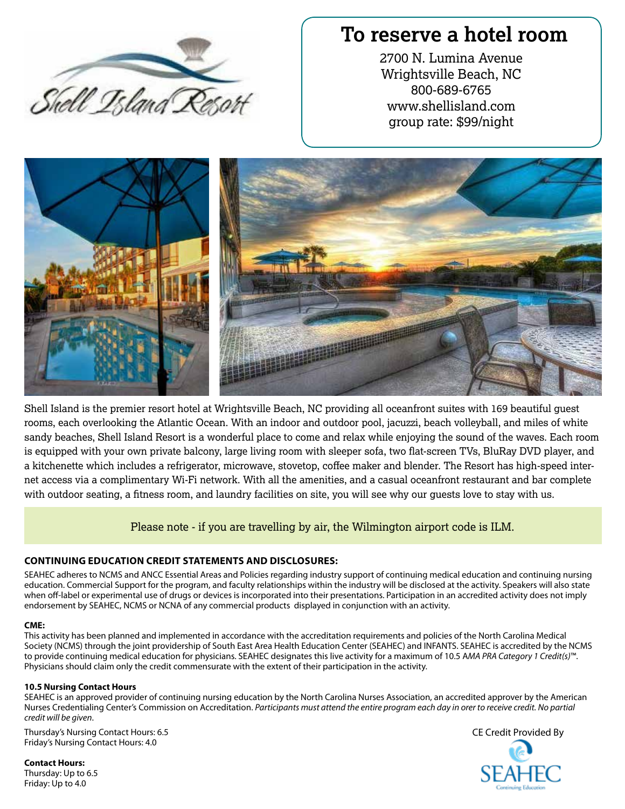

### **To reserve a hotel room**

2700 N. Lumina Avenue Wrightsville Beach, NC 800-689-6765 www.shellisland.com group rate: \$99/night



Shell Island is the premier resort hotel at Wrightsville Beach, NC providing all oceanfront suites with 169 beautiful guest rooms, each overlooking the Atlantic Ocean. With an indoor and outdoor pool, jacuzzi, beach volleyball, and miles of white sandy beaches, Shell Island Resort is a wonderful place to come and relax while enjoying the sound of the waves. Each room is equipped with your own private balcony, large living room with sleeper sofa, two flat-screen TVs, BluRay DVD player, and a kitchenette which includes a refrigerator, microwave, stovetop, coffee maker and blender. The Resort has high-speed internet access via a complimentary Wi-Fi network. With all the amenities, and a casual oceanfront restaurant and bar complete with outdoor seating, a fitness room, and laundry facilities on site, you will see why our guests love to stay with us.

#### Please note - if you are travelling by air, the Wilmington airport code is ILM.

#### **CONTINUING EDUCATION CREDIT STATEMENTS AND DISCLOSURES:**

SEAHEC adheres to NCMS and ANCC Essential Areas and Policies regarding industry support of continuing medical education and continuing nursing education. Commercial Support for the program, and faculty relationships within the industry will be disclosed at the activity. Speakers will also state when off-label or experimental use of drugs or devices is incorporated into their presentations. Participation in an accredited activity does not imply endorsement by SEAHEC, NCMS or NCNA of any commercial products displayed in conjunction with an activity.

#### **CME:**

This activity has been planned and implemented in accordance with the accreditation requirements and policies of the North Carolina Medical Society (NCMS) through the joint providership of South East Area Health Education Center (SEAHEC) and INFANTS. SEAHEC is accredited by the NCMS to provide continuing medical education for physicians. SEAHEC designates this live activity for a maximum of 10.5 A*MA PRA Category 1 Credit(s)*™. Physicians should claim only the credit commensurate with the extent of their participation in the activity.

#### **10.5 Nursing Contact Hours**

SEAHEC is an approved provider of continuing nursing education by the North Carolina Nurses Association, an accredited approver by the American Nurses Credentialing Center's Commission on Accreditation. *Participants must attend the entire program each day in orer to receive credit. No partial credit will be given*.

Thursday's Nursing Contact Hours: 6.5 Friday's Nursing Contact Hours: 4.0

**Contact Hours:** Thursday: Up to 6.5 Friday: Up to 4.0

CE Credit Provided By